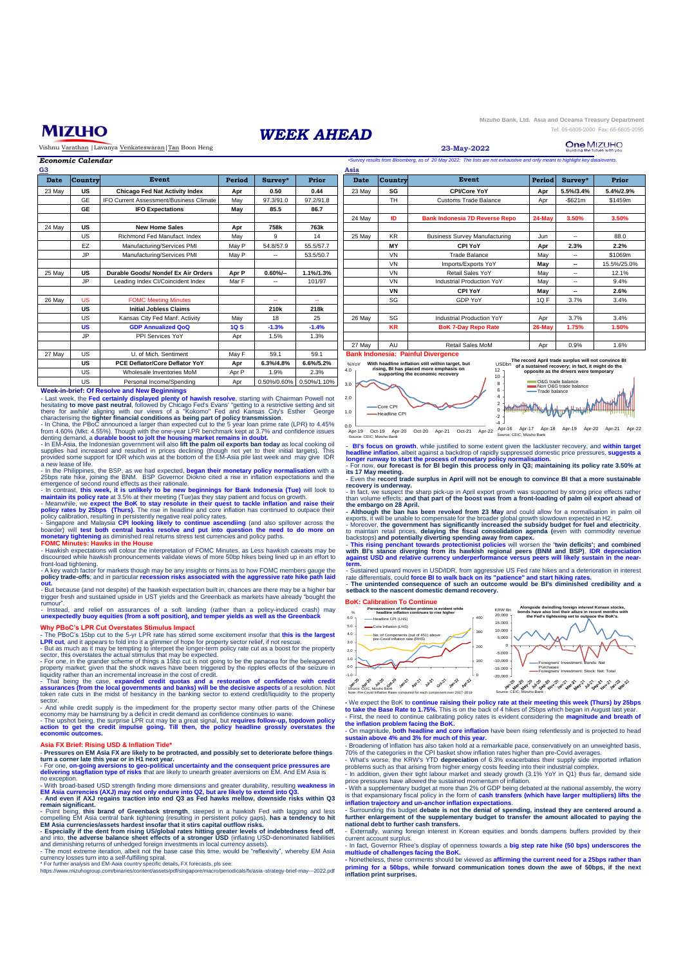

Vishnu Varathan |Lavanya Venkateswaran|Tan Boon Heng

|            | <b>CONTRACTOR</b>                   |
|------------|-------------------------------------|
| WEEK AHEAD | Tel: 65-6805-2000 Fax: 65-6805-2095 |

**Mizuho Bank, Ltd. Asia and Oceania Treasury Department**

**23-May-2022**

| *Survey results from Bloomberg, as of 20 May 2022; The lists are not exhaustive and only meant to highlight key data/events.<br>Economic Calendar |                |                                         |             |                          |           |        |                |                                       |        |            |             |
|---------------------------------------------------------------------------------------------------------------------------------------------------|----------------|-----------------------------------------|-------------|--------------------------|-----------|--------|----------------|---------------------------------------|--------|------------|-------------|
| G3                                                                                                                                                |                |                                         |             |                          |           | Asia   |                |                                       |        |            |             |
| Date                                                                                                                                              | <b>Country</b> | Event                                   | Period      | Survey*                  | Prior     | Date   | <b>Country</b> | Event                                 | Period | Survey*    | Prior       |
| 23 May                                                                                                                                            | <b>US</b>      | <b>Chicago Fed Nat Activity Index</b>   | Apr         | 0.50                     | 0.44      | 23 May | SG             | <b>CPI/Core YoY</b>                   | Apr    | 5.5%/3.4%  | 5.4%/2.9%   |
|                                                                                                                                                   | <b>GE</b>      | IFO Current Assessment/Business Climate | May         | 97.3/91.0                | 97.2/91.8 |        | <b>TH</b>      | <b>Customs Trade Balance</b>          | Apr    | $-$ \$621m | \$1459m     |
|                                                                                                                                                   | <b>GE</b>      | <b>IFO Expectations</b>                 | May         | 85.5                     | 86.7      |        |                |                                       |        |            |             |
|                                                                                                                                                   |                |                                         |             |                          |           | 24 May | ID             | <b>Bank Indonesia 7D Reverse Repo</b> | 24-May | 3.50%      | 3.50%       |
| 24 May                                                                                                                                            | US             | <b>New Home Sales</b>                   | Apr         | 758k                     | 763k      |        |                |                                       |        |            |             |
|                                                                                                                                                   | US             | Richmond Fed Manufact, Index            | Mav         | 9                        | 14        | 25 May | <b>KR</b>      | <b>Business Survey Manufacturing</b>  | Jun    | ۰.         | 88.0        |
|                                                                                                                                                   | EZ             | Manufacturing/Services PMI              | May P       | 54.8/57.9                | 55.5/57.7 |        | <b>MY</b>      | CPI YoY                               | Apr    | 2.3%       | 2.2%        |
|                                                                                                                                                   | JP.            | Manufacturing/Services PMI              | May P       | $\overline{\phantom{a}}$ | 53.5/50.7 |        | <b>VN</b>      | <b>Trade Balance</b>                  | Mav    | ۰.         | \$1069m     |
|                                                                                                                                                   |                |                                         |             |                          |           |        | <b>VN</b>      | Imports/Exports YoY                   | May    | -          | 15.5%/25.0% |
| 25 May                                                                                                                                            | US             | Durable Goods/ Nondef Ex Air Orders     | Apr P       | $0.60\%$ -               | 1.1%/1.3% |        | <b>VN</b>      | Retail Sales YoY                      | May    | ۰.         | 12.1%       |
|                                                                                                                                                   | JP             | Leading Index CI/Coincident Index       | Mar F       | $\sim$                   | 101/97    |        | <b>VN</b>      | Industrial Production YoY             | Mav    | ۰.         | 9.4%        |
|                                                                                                                                                   |                |                                         |             |                          |           |        | VN             | <b>CPI YoY</b>                        | May    | -          | 2.6%        |
| 26 May                                                                                                                                            | <b>US</b>      | <b>FOMC Meeting Minutes</b>             |             | $\sim$                   | ۰.        |        | SG             | <b>GDP YoY</b>                        | 1QF    | 3.7%       | 3.4%        |
|                                                                                                                                                   | US             | <b>Initial Jobless Claims</b>           |             | 210k                     | 218k      |        |                |                                       |        |            |             |
|                                                                                                                                                   | US             | Kansas City Fed Manf. Activity          | May         | 18                       | 25        | 26 May | SG             | <b>Industrial Production YoY</b>      | Apr    | 3.7%       | 3.4%        |
|                                                                                                                                                   | <b>US</b>      | <b>GDP Annualized QoQ</b>               | <b>1Q S</b> | $-1.3%$                  | $-1.4%$   |        | <b>KR</b>      | <b>BoK 7-Day Repo Rate</b>            | 26-May | 1.75%      | 1.50%       |
|                                                                                                                                                   | <b>JP</b>      | PPI Services YoY                        | Apr         | 1.5%                     | 1.3%      |        |                |                                       |        |            |             |

4.0 %YoY





-4 Apr-16 Apr-17 Apr-18 Apr-19 Apr-20 Apr-21 Apr-22 Source: CEIC; Mizuho Bank 0.0 Apr-19 Oct-19 Apr-20 Oct-20 Apr-21 Oct-21 Apr-22 Source: CEIC; Mizuho Bank

- BI's focus on growth, while justified to some extent given the lackluster recovery, and within target<br>headline inflation, albeit against a backdrop of rapidly suppressed domestic price pressures, suggests a<br>longer runway

its 17 May meeting.<br>- Even the record trade surplus in April will not be enough to convince BI that a more sustainable

r**ecovery is underway.**<br>- In fact, we suspect the sharp pick-up in April export growth was supported by strong price effects rathe<br>than volume effects; **and that part of the boost was from a front-loading of palm oil expor** 

the embargo on 28 April.<br>
- Although the ban has been revoked from 23 May and could allow for a normalisation in palm of<br>
- Although the ban has been revoked from 23 May and could allow for a normalisation in palm of<br>
- Mo

**watch of the exploration of the expansion of the control of the standard and the standard of the combined with BI's stance diverging from its hawkish regional peers (BNM and regional person of the and regional person of t against reduces <b>condom currency underperformance versus** peers will likely sustain in the near**term.** - Sustained upward moves in USD/IDR, from aggressive US Fed rate hikes and a deterioration in interest

rate differentials, could force BI to walk back on its "patience" and start hiking rates.<br>- The unintended consequence of such an outcome would be BI's diminished credibility and a **setback to the nascent domestic demand recovery.**

## **Bibration To Co**



- We expect the BoK to continue raising their policy rate at their meeting this week (Thurs) by 25bps<br>to take the Base Rate to 1.75%. This is on the back of 4 hikes of 25bps which began in August last year.<br>- First, the ne

- On magnitude, both headline and core inflation have been rising relentlessly and is projected to head<br>sustain above 4% and 3% for much of this year. - Broadening of inflation has also taken hold at a remarkable pace, conservatively on an unweighted basis,

70% of the categories in the CPI basket show inflation rates higher than pre-Covid averages.<br>- What's worse, the KRW's YTD **depreciation** of 6.3% exacerbates their supply side imported inflatior<br>problems such as that arisi

- In addition, given their tight labour market and steady growth (3.1% YoY in Q1) thus far, demand side<br>price pressures have allowed the sustained momentum of inflation.<br>- With a supplementary budget at more than 2% of GDP

i<mark>nflation trajectory and un-anchor inflation expectations.</mark><br>- Surrounding this budget d<mark>ebate is not the denial o</mark>f spending, instead they are centered around a<br>further enlargement of the supplementary budget to transfer

**national debt to further cash transfers.** - Externally, waning foreign interest in Korean equities and bonds dampens buffers provided by their current account surplus.

- In fact, Governor Rhee's display of openness towards a **big step rate hike (50 bps) underscores the**<br>multiude of challenges facing the BoK.<br>- Nonetheless, these comments should be viewed as **affirming the current need fo** 

priming for a 50bps, while forward communication tones down the awe of 50bps, if the next<br>inflation print surprises.

US Wholesale Inventories MoM | Apr P | 1.9% | 2.3% US | Personal Income/Spending | Apr | 0.50%/0.60% 0.50%/1.10%

27 May | US | U. of Mich. Sentiment | May F | 59.1 | 59.1

**US Apr 6.3%/4.8% 6.6%/5.2% PCE Deflator/Core Deflator YoY**

Week-in-brief: Of Resolve and New Beginnings<br>
week-in-brief: Of Resolve and New Beginnings<br>
Least week, the Fed certainly displayed plenty of hawish resolve, starting with Chairman Powell not<br>
hesitating to move past neutr

- In the Philippines, the BSP, as we had expected, <mark>began their monetary policy normalisation</mark> with a<br>25bps rate hike, joining the BNM. BSP Governor Diokno cited a rise in inflation expectations and the<br>emergence of second

- In contrast, t**his week, it is unlikely to be new beginnings for Bank Indonesia (Tue)** will look to<br>maintain its policy rate at 3.5% at their meeting (Tue)as they stay patient and focus on growth.

- Meanwhile, we expect the BoK to stay resolute in their quest to tackle inflation and raise their<br>policy rates by 25bps (Thurs). The rise in headline and core inflation has continued to outpace their<br>policy calibration, r

--- winnatoo... names are the interpretation of FOMC Minutes, as Less hawkish caveats may be<br>wkish expectations will colour the interpretation of FOMC Minutes, as Less hawkish caveats may be<br>bunted while hawkish pronouncem

discounted while hawkish pronouncements validate views of more 50bp hikes being lined up in an effort to<br>front-load tightening.<br>- A key watch factor for markets though may be any insights or hints as to how FOMC members ga

- But because (and not despite) of the hawkish expectation built in, chances are there may be a higher bar trigger fresh and sustained upside in UST yields and the Greenback as markets have already "bought the rumour".

- Instead, and relief on assurances of a soft landing (rather than a policy-induced crash) may<br>unexpectedly buoy equities (from a soft position), and temper yields as well as the Greenback

# **Why PBoC's LPR Cut Overstates Stimulus Impact** - The PBoC's 15bp cut to the 5-yr LPR rate has stirred some excitement insofar that **this is the largest**

**LPR cut**, and it appears to fold into it a glimmer of hope for property sector relief, if not rescue. - But as much as it may be tempting to interpret the longer-term policy rate cut as a boost for the property sector, this overstates the actual stimulus that may be expected.

- For one, in the grander scheme of things a 15bp cut is not going to be the panacea for the beleaguered<br>property market; given that the shock waves have been triggered by the ripples effects of the seizure in<br>liquidity ra

- That being the case, e**xpanded credit quotas and a restoration of confidence with credit**<br>assurances (from the local governments and banks) will be the decisive aspects of a resolution. Not<br>token rate cuts in the midst o

sector.<br>
- And while credit supply is the impediment for the property sector many other parts of the Chinese<br>
- Conomy may be hamstrung by a deficit in credit demand as confidence continues to wane.<br>
- The upshot being, th

#### **Asia FX Brief: Rising USD & Inflation Tide\***

- Pressures on EM Asia FX are likely to be protracted, and possibly set to deteriorate before things<br>turn a corner late this year or in H1 next year.<br>- For one, on-going aversions to geo-political uncertainty and the conse

no exception.<br>- With broad-based USD strength finding more dimensions and greater durability, resulting weakness in<br>EM Asia currencies (AXJ) may not only endure into Q2, but are likely to extend into Q3.<br>- And even if AXJ

remain significant.<br>
In Significant School of Greenback strength, steeped in a hawkish Fed with lagging and less<br>
- Point being, this brand of Greenback tightening (resulting in persistent policy gaps), has a tendency to h

currency losses turn into a self-fulfilling spiral. \* For further analysis and EM-Aaia country specific details, FX forecasts, pls see:

https://www.mizuhogroup.com/binaries/content/assets/pdf/singapore/macro/periodicals/fx/asia -strategy-brief-may---2022.pdf

2.0 3.0 Core CPI

**Headline CPI** 

1.0



**Bank Indonesia: Painful Divergence** 

**With headline inflation still within target, but rising, BI has placed more emphasis on supporting the economic recovery**

**The record April trade surplus will not convince BI of a sustained recovery; in fact, it might do the opposite as the drivers were temporary** 

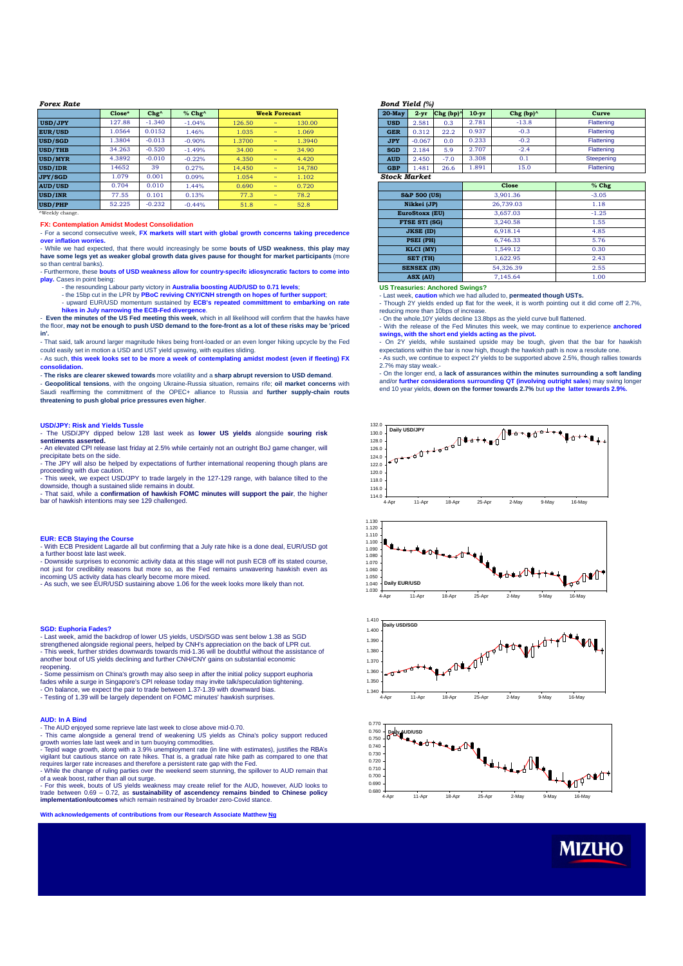| <b>Forex Rate</b> |          |                |             |        |                          |        | <b>Bond Yield (%)</b> |                         |                       |
|-------------------|----------|----------------|-------------|--------|--------------------------|--------|-----------------------|-------------------------|-----------------------|
|                   | $Close*$ | $Chg^{\wedge}$ | $%$ Chg $^$ |        | <b>Week Forecast</b>     |        | $20$ -May             | $2 - yr$                | Chg (bp) <sup>^</sup> |
| <b>USD/JPY</b>    | 127.88   | $-1.340$       | $-1.04%$    | 126.50 | $\overline{\phantom{a}}$ | 130.00 | <b>USD</b>            | 2.581                   | 0.3                   |
| <b>EUR/USD</b>    | 1.0564   | 0.0152         | 1.46%       | 1.035  | $\overline{\phantom{a}}$ | 1.069  | <b>GER</b>            | 0.312                   | 22.2                  |
| <b>USD/SGD</b>    | 1.3804   | $-0.013$       | $-0.90%$    | 1.3700 | $\tilde{}$               | 1.3940 | <b>JPY</b>            | $-0.067$                | 0.0                   |
| <b>USD/THB</b>    | 34.263   | $-0.520$       | $-1.49%$    | 34.00  | $\tilde{}$               | 34.90  | <b>SGD</b>            | 2.184                   | 5.9                   |
| <b>USD/MYR</b>    | 4.3892   | $-0.010$       | $-0.22%$    | 4.350  | $\overline{\phantom{a}}$ | 4.420  | <b>AUD</b>            | 2.450                   | $-7.0$                |
| <b>USD/IDR</b>    | 14652    | 39             | 0.27%       | 14.450 | $\overline{\phantom{a}}$ | 14.780 | <b>GBP</b>            | 1.481                   | 26.6                  |
| <b>JPY/SGD</b>    | 1.079    | 0.001          | 0.09%       | 1.054  | $\overline{\phantom{a}}$ | 1.102  | <b>Stock Market</b>   |                         |                       |
| <b>AUD/USD</b>    | 0.704    | 0.010          | 1.44%       | 0.690  | $\tilde{}$               | 0.720  |                       |                         |                       |
| <b>USD/INR</b>    | 77.55    | 0.101          | 0.13%       | 77.3   | $\tilde{}$               | 78.2   |                       | <b>S&amp;P 500 (US)</b> |                       |
| <b>USD/PHP</b>    | 52.225   | $-0.232$       | $-0.44%$    | 51.8   | $\tilde{}$               | 52.8   |                       | Nikkei (JP)             |                       |

^Weekly change.

#### **FX: Contemplation Amidst Modest Consolidation**

- For a second consecutive week, **FX markets will start with global growth concerns taking precedence over inflation worries.**

- While we had expected, that there would increasingly be some **bouts of USD weakness**, **this play may have some legs yet as weaker global growth data gives pause for thought for market participants** (more so than central banks).

- Furthermore, these **bouts of USD weakness allow for country-specifc idiosyncratic factors to come into play.** Cases in point being:

- the resounding Labour party victory in **Australia boosting AUD/USD to 0.71 levels;**<br>- the 15bp cut in the LPR by **PBoC reviving CNY/CNH strength on hopes of further support;<br>- upward EUR/USD momentum sustained by <b>ECB's** 

hikes in July narrowing the ECB-Fed divergence.<br>- Even the minutes of the US Fed meeting this week, which in all likelihood will confirm that the hawks have

the floor, may not be enough to push USD demand to the fore-front as a lot of these risks may be 'priced **in'.**

- That said, talk around larger magnitude hikes being front-loaded or an even longer hiking upcycle by the Fed could easily set in motion a USD and UST yield upswing, with equities sliding. - As such, **this week looks set to be more a week of contemplating amidst modest (even if fleeting) FX**

**consolidation.**

- **The risks are clearer skewed towards** more volatility and a **sharp abrupt reversion to USD demand**. - **Geopolitical tensions**, with the ongoing Ukraine-Russia situation, remains rife; **oil market concerns** with

Saudi reaffirming the committment of the OPEC+ alliance to Russia and **further supply-chain routs threatening to push global price pressures even higher**.

**USD/JPY: Risk and Yields Tussle** - The USD/JPY dipped below 128 last week as **lower US yields** alongside **souring risk sentiments asserted.**

- An elevated CPI release last friday at 2.5% while certainly not an outright BoJ game changer, will precipitate bets on the side. - The JPY will also be helped by expectations of further international reopening though plans are

proceeding with due caution.

- This week, we expect USD/JPY to trade largely in the 127-129 range, with balance tilted to the downside, though a sustained slide remains in doubt.

- That said, while a **confirmation of hawkish FOMC minutes will support the pair**, the higher bar of hawkish intentions may see 129 challenged.

# **EUR: ECB Staying the Course**

- With ECB President Lagarde all but confirming that a July rate hike is a done deal, EUR/USD got a further boost late last week.

- Downside surprises to economic activity data at this stage will not push ECB off its stated course,<br>not just for credibility reasons but more so, as the Fed remains unwavering hawkish even as<br>incoming US activity data ha

- As such, we see EUR/USD sustaining above 1.06 for the week looks more likely than not.

## **SGD: Euphoria Fades?**

- Last week, amid the backdrop of lower US yields, USD/SGD was sent below 1.38 as SGD strengthened alongside regional peers, helped by CNH's appreciation on the back of LPR cut. - This week, further strides downwards towards mid-1.36 will be doubtful without the assistance of another bout of US yields declining and further CNH/CNY gains on substantial economic reopening.

- Some pessimism on China's growth may also seep in after the initial policy support euphoria<br>fades while a surge in Singapore's CPI release today may invite talk/speculation tightening.<br>- On balance, we expect the pair to

- Testing of 1.39 will be largely dependent on FOMC minutes' hawkish surprises.

### **AUD: In A Bind**

- The AUD enjoyed some reprieve late last week to close above mid-0.70.

- This came alongside a general trend of weakening US yields as China's policy support reduced

growth worries late last week and in turn buoying commodities.<br>- Tepid wage growth, along with a 3.9% unemployment rate (in line with estimates), justifies the RBA's<br>vigilant but cautious stance on rate hikes. That is, a g requires larger rate increases and therefore a persistent rate gap with the Fed. - While the change of ruling parties over the weekend seem stunning, the spillover to AUD remain that

of a weak boost, rather than all out surge.<br>- For this week, bouts of US yields weakness may create relief for the AUD, however, AUD looks to<br>trade between 0.69 – 0.72, as **sustainability of ascendency remains binded to Ch implementation/outcomes** which remain restrained by broader zero-Covid stance.

**With acknowledgements of contributions from our Research Associate Matthew Ng**

| $20$ -May           | $2 - yr$ | Chg $(bp)$ | $10-yr$ | Chg $(bp)$ | Curve      |  |
|---------------------|----------|------------|---------|------------|------------|--|
| <b>USD</b>          | 2.581    | 0.3        | 2.781   | $-13.8$    | Flattening |  |
| <b>GER</b>          | 0.312    | 22.2       | 0.937   | $-0.3$     | Flattening |  |
| <b>JPY</b>          | $-0.067$ | 0.0        | 0.233   | $-0.2$     | Flattening |  |
| <b>SGD</b>          | 2.184    | 5.9        | 2.707   | $-2.4$     | Flattening |  |
| <b>AUD</b>          | 2.450    | $-7.0$     | 3.308   | 0.1        | Steepening |  |
| <b>GBP</b>          | 1.481    | 26.6       | 1.891   | 15.0       | Flattening |  |
| <b>Stock Market</b> |          |            |         |            |            |  |

|                         | <b>Close</b> | % Chg   |
|-------------------------|--------------|---------|
| <b>S&amp;P 500 (US)</b> | 3,901.36     | $-3.05$ |
| Nikkei (JP)             | 26,739.03    | 1.18    |
| <b>EuroStoxx (EU)</b>   | 3.657.03     | $-1.25$ |
| <b>FTSE STI (SG)</b>    | 3.240.58     | 1.55    |
| <b>JKSE (ID)</b>        | 6.918.14     | 4.85    |
| <b>PSEI (PH)</b>        | 6.746.33     | 5.76    |
| KLCI (MY)               | 1.549.12     | 0.30    |
| SET (TH)                | 1.622.95     | 2.43    |
| <b>SENSEX (IN)</b>      | 54.326.39    | 2.55    |
| ASX (AU)                | 7.145.64     | 1.00    |

**US Treasuries: Anchored Swings?** 

- Last week, **caution** which we had alluded to, **permeated though USTs.**

- Though 2Y yields ended up flat for the week, it is worth pointing out it did come off 2.7%, reducing more than 10bps of increase

- On the whole,10Y yields decline 13.8bps as the yield curve bull flattened. - With the release of the Fed Minutes this week, we may continue to experience **anchored**

**swings, with the short end yields acting as the pivot.** - On 2Y yields, while sustained upside may be tough, given that the bar for hawkish expectations within the bar is now high, though the hawkish path is now a resolute one - As such, we continue to expect 2Y yields to be supported above 2.5%, though rallies towards

2.7% may stay weak.- - On the longer end, a **lack of assurances within the minutes surrounding a soft landing**

and/or further considerations surrounding QT (involving outright sales) may swing longer<br>end 10 year yields, down on the former towards 2.7% but up the latter towards 2.9%.









**MIZUHO**